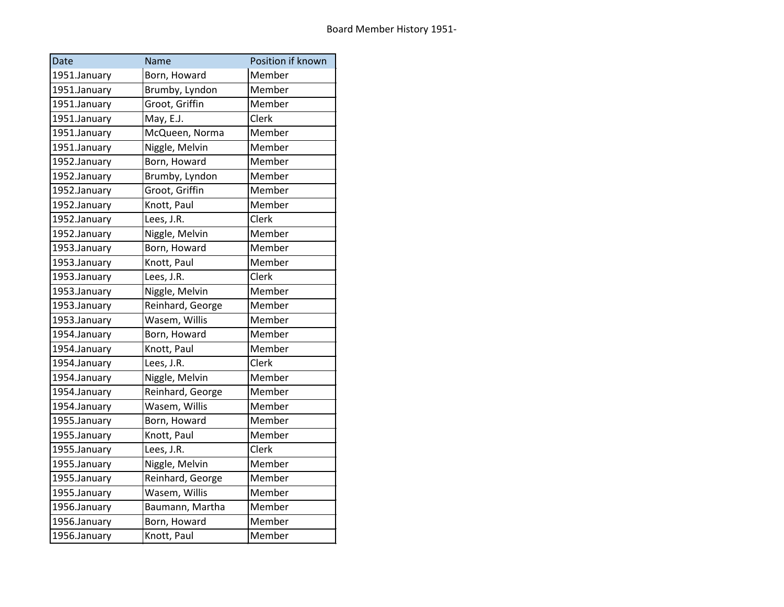| Date         | Name             | Position if known |
|--------------|------------------|-------------------|
| 1951.January | Born, Howard     | Member            |
| 1951.January | Brumby, Lyndon   | Member            |
| 1951.January | Groot, Griffin   | Member            |
| 1951.January | May, E.J.        | Clerk             |
| 1951.January | McQueen, Norma   | Member            |
| 1951.January | Niggle, Melvin   | Member            |
| 1952.January | Born, Howard     | Member            |
| 1952.January | Brumby, Lyndon   | Member            |
| 1952.January | Groot, Griffin   | Member            |
| 1952.January | Knott, Paul      | Member            |
| 1952.January | Lees, J.R.       | Clerk             |
| 1952.January | Niggle, Melvin   | Member            |
| 1953.January | Born, Howard     | Member            |
| 1953.January | Knott, Paul      | Member            |
| 1953.January | Lees, J.R.       | Clerk             |
| 1953.January | Niggle, Melvin   | Member            |
| 1953.January | Reinhard, George | Member            |
| 1953.January | Wasem, Willis    | Member            |
| 1954.January | Born, Howard     | Member            |
| 1954.January | Knott, Paul      | Member            |
| 1954.January | Lees, J.R.       | Clerk             |
| 1954.January | Niggle, Melvin   | Member            |
| 1954.January | Reinhard, George | Member            |
| 1954.January | Wasem, Willis    | Member            |
| 1955.January | Born, Howard     | Member            |
| 1955.January | Knott, Paul      | Member            |
| 1955.January | Lees, J.R.       | Clerk             |
| 1955.January | Niggle, Melvin   | Member            |
| 1955.January | Reinhard, George | Member            |
| 1955.January | Wasem, Willis    | Member            |
| 1956.January | Baumann, Martha  | Member            |
| 1956.January | Born, Howard     | Member            |
| 1956.January | Knott, Paul      | Member            |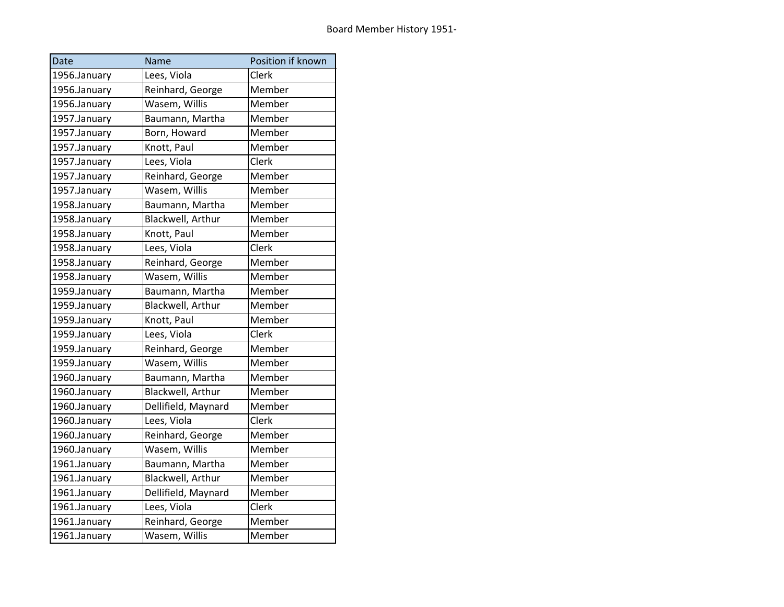| Date         | Name                | Position if known |
|--------------|---------------------|-------------------|
| 1956.January | Lees, Viola         | Clerk             |
| 1956.January | Reinhard, George    | Member            |
| 1956.January | Wasem, Willis       | Member            |
| 1957.January | Baumann, Martha     | Member            |
| 1957.January | Born, Howard        | Member            |
| 1957.January | Knott, Paul         | Member            |
| 1957.January | Lees, Viola         | Clerk             |
| 1957.January | Reinhard, George    | Member            |
| 1957.January | Wasem, Willis       | Member            |
| 1958.January | Baumann, Martha     | Member            |
| 1958.January | Blackwell, Arthur   | Member            |
| 1958.January | Knott, Paul         | Member            |
| 1958.January | Lees, Viola         | Clerk             |
| 1958.January | Reinhard, George    | Member            |
| 1958.January | Wasem, Willis       | Member            |
| 1959.January | Baumann, Martha     | Member            |
| 1959.January | Blackwell, Arthur   | Member            |
| 1959.January | Knott, Paul         | Member            |
| 1959.January | Lees, Viola         | Clerk             |
| 1959.January | Reinhard, George    | Member            |
| 1959.January | Wasem, Willis       | Member            |
| 1960.January | Baumann, Martha     | Member            |
| 1960.January | Blackwell, Arthur   | Member            |
| 1960.January | Dellifield, Maynard | Member            |
| 1960.January | Lees, Viola         | Clerk             |
| 1960.January | Reinhard, George    | Member            |
| 1960.January | Wasem, Willis       | Member            |
| 1961.January | Baumann, Martha     | Member            |
| 1961.January | Blackwell, Arthur   | Member            |
| 1961.January | Dellifield, Maynard | Member            |
| 1961.January | Lees, Viola         | Clerk             |
| 1961.January | Reinhard, George    | Member            |
| 1961.January | Wasem, Willis       | Member            |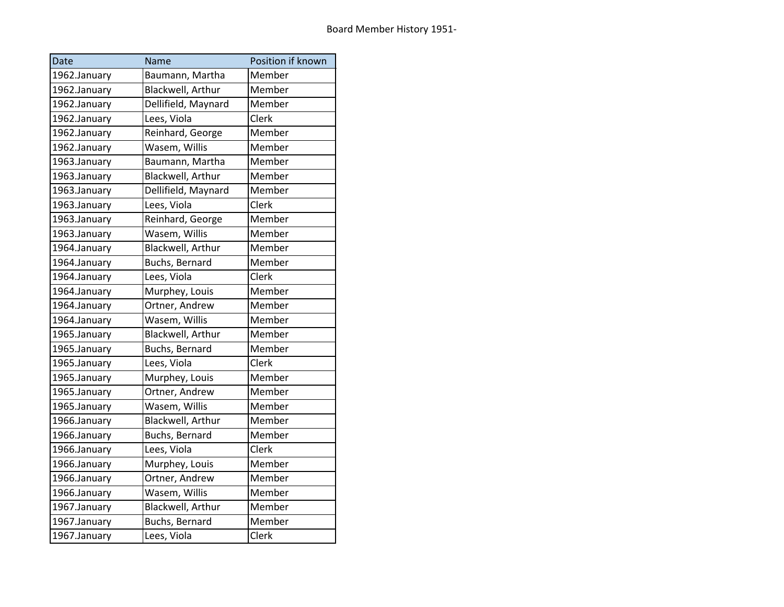| Date         | Name                | Position if known |
|--------------|---------------------|-------------------|
| 1962.January | Baumann, Martha     | Member            |
| 1962.January | Blackwell, Arthur   | Member            |
| 1962.January | Dellifield, Maynard | Member            |
| 1962.January | Lees, Viola         | Clerk             |
| 1962.January | Reinhard, George    | Member            |
| 1962.January | Wasem, Willis       | Member            |
| 1963.January | Baumann, Martha     | Member            |
| 1963.January | Blackwell, Arthur   | Member            |
| 1963.January | Dellifield, Maynard | Member            |
| 1963.January | Lees, Viola         | Clerk             |
| 1963.January | Reinhard, George    | Member            |
| 1963.January | Wasem, Willis       | Member            |
| 1964.January | Blackwell, Arthur   | Member            |
| 1964.January | Buchs, Bernard      | Member            |
| 1964.January | Lees, Viola         | Clerk             |
| 1964.January | Murphey, Louis      | Member            |
| 1964.January | Ortner, Andrew      | Member            |
| 1964.January | Wasem, Willis       | Member            |
| 1965.January | Blackwell, Arthur   | Member            |
| 1965.January | Buchs, Bernard      | Member            |
| 1965.January | Lees, Viola         | Clerk             |
| 1965.January | Murphey, Louis      | Member            |
| 1965.January | Ortner, Andrew      | Member            |
| 1965.January | Wasem, Willis       | Member            |
| 1966.January | Blackwell, Arthur   | Member            |
| 1966.January | Buchs, Bernard      | Member            |
| 1966.January | Lees, Viola         | Clerk             |
| 1966.January | Murphey, Louis      | Member            |
| 1966.January | Ortner, Andrew      | Member            |
| 1966.January | Wasem, Willis       | Member            |
| 1967.January | Blackwell, Arthur   | Member            |
| 1967.January | Buchs, Bernard      | Member            |
| 1967.January | Lees, Viola         | Clerk             |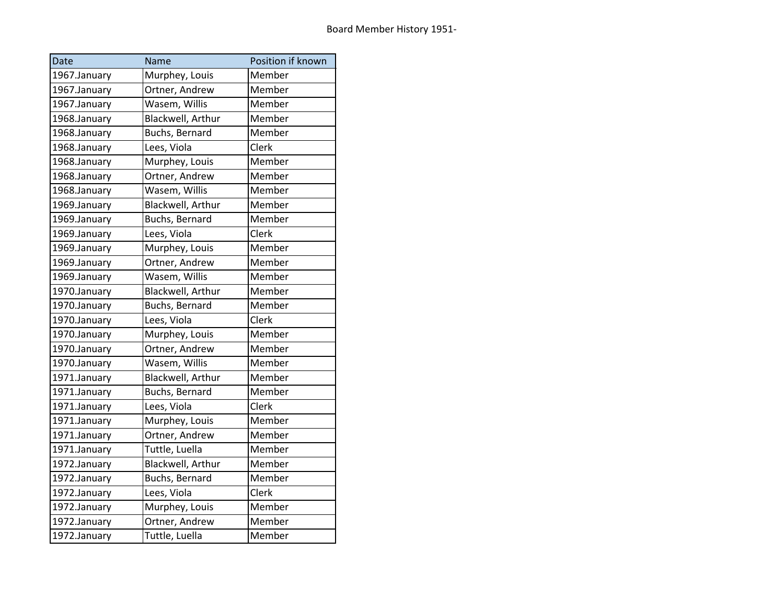| Date         | Name              | Position if known |
|--------------|-------------------|-------------------|
| 1967.January | Murphey, Louis    | Member            |
| 1967.January | Ortner, Andrew    | Member            |
| 1967.January | Wasem, Willis     | Member            |
| 1968.January | Blackwell, Arthur | Member            |
| 1968.January | Buchs, Bernard    | Member            |
| 1968.January | Lees, Viola       | Clerk             |
| 1968.January | Murphey, Louis    | Member            |
| 1968.January | Ortner, Andrew    | Member            |
| 1968.January | Wasem, Willis     | Member            |
| 1969.January | Blackwell, Arthur | Member            |
| 1969.January | Buchs, Bernard    | Member            |
| 1969.January | Lees, Viola       | Clerk             |
| 1969.January | Murphey, Louis    | Member            |
| 1969.January | Ortner, Andrew    | Member            |
| 1969.January | Wasem, Willis     | Member            |
| 1970.January | Blackwell, Arthur | Member            |
| 1970.January | Buchs, Bernard    | Member            |
| 1970.January | Lees, Viola       | Clerk             |
| 1970.January | Murphey, Louis    | Member            |
| 1970.January | Ortner, Andrew    | Member            |
| 1970.January | Wasem, Willis     | Member            |
| 1971.January | Blackwell, Arthur | Member            |
| 1971.January | Buchs, Bernard    | Member            |
| 1971.January | Lees, Viola       | Clerk             |
| 1971.January | Murphey, Louis    | Member            |
| 1971.January | Ortner, Andrew    | Member            |
| 1971.January | Tuttle, Luella    | Member            |
| 1972.January | Blackwell, Arthur | Member            |
| 1972.January | Buchs, Bernard    | Member            |
| 1972.January | Lees, Viola       | Clerk             |
| 1972.January | Murphey, Louis    | Member            |
| 1972.January | Ortner, Andrew    | Member            |
| 1972.January | Tuttle, Luella    | Member            |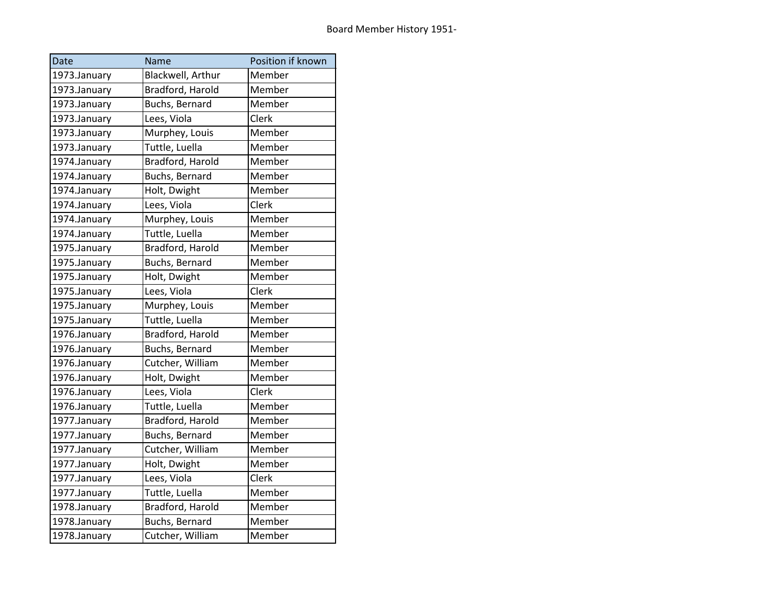| Date         | Name              | Position if known |
|--------------|-------------------|-------------------|
| 1973.January | Blackwell, Arthur | Member            |
| 1973.January | Bradford, Harold  | Member            |
| 1973.January | Buchs, Bernard    | Member            |
| 1973.January | Lees, Viola       | Clerk             |
| 1973.January | Murphey, Louis    | Member            |
| 1973.January | Tuttle, Luella    | Member            |
| 1974.January | Bradford, Harold  | Member            |
| 1974.January | Buchs, Bernard    | Member            |
| 1974.January | Holt, Dwight      | Member            |
| 1974.January | Lees, Viola       | Clerk             |
| 1974.January | Murphey, Louis    | Member            |
| 1974.January | Tuttle, Luella    | Member            |
| 1975.January | Bradford, Harold  | Member            |
| 1975.January | Buchs, Bernard    | Member            |
| 1975.January | Holt, Dwight      | Member            |
| 1975.January | Lees, Viola       | Clerk             |
| 1975.January | Murphey, Louis    | Member            |
| 1975.January | Tuttle, Luella    | Member            |
| 1976.January | Bradford, Harold  | Member            |
| 1976.January | Buchs, Bernard    | Member            |
| 1976.January | Cutcher, William  | Member            |
| 1976.January | Holt, Dwight      | Member            |
| 1976.January | Lees, Viola       | Clerk             |
| 1976.January | Tuttle, Luella    | Member            |
| 1977.January | Bradford, Harold  | Member            |
| 1977.January | Buchs, Bernard    | Member            |
| 1977.January | Cutcher, William  | Member            |
| 1977.January | Holt, Dwight      | Member            |
| 1977.January | Lees, Viola       | Clerk             |
| 1977.January | Tuttle, Luella    | Member            |
| 1978.January | Bradford, Harold  | Member            |
| 1978.January | Buchs, Bernard    | Member            |
| 1978.January | Cutcher, William  | Member            |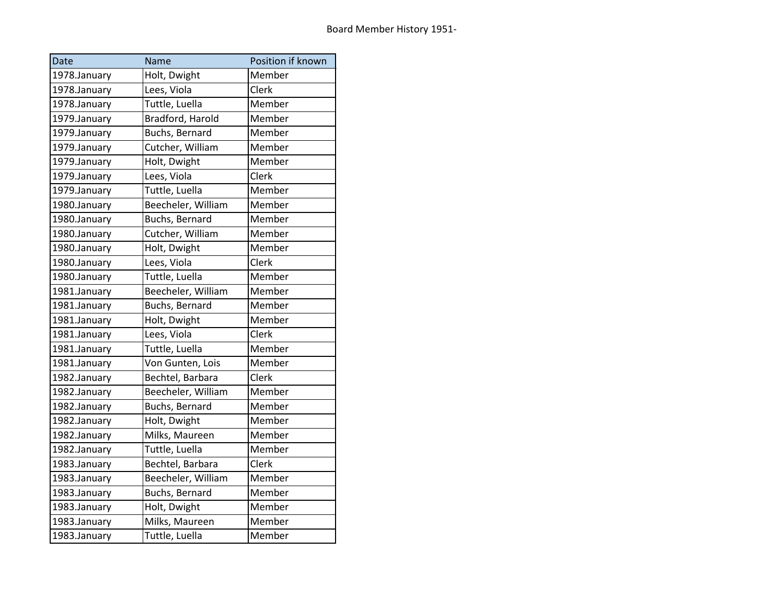| Date         | Name               | Position if known |
|--------------|--------------------|-------------------|
| 1978.January | Holt, Dwight       | Member            |
| 1978.January | Lees, Viola        | Clerk             |
| 1978.January | Tuttle, Luella     | Member            |
| 1979.January | Bradford, Harold   | Member            |
| 1979.January | Buchs, Bernard     | Member            |
| 1979.January | Cutcher, William   | Member            |
| 1979.January | Holt, Dwight       | Member            |
| 1979.January | Lees, Viola        | Clerk             |
| 1979.January | Tuttle, Luella     | Member            |
| 1980.January | Beecheler, William | Member            |
| 1980.January | Buchs, Bernard     | Member            |
| 1980.January | Cutcher, William   | Member            |
| 1980.January | Holt, Dwight       | Member            |
| 1980.January | Lees, Viola        | Clerk             |
| 1980.January | Tuttle, Luella     | Member            |
| 1981.January | Beecheler, William | Member            |
| 1981.January | Buchs, Bernard     | Member            |
| 1981.January | Holt, Dwight       | Member            |
| 1981.January | Lees, Viola        | Clerk             |
| 1981.January | Tuttle, Luella     | Member            |
| 1981.January | Von Gunten, Lois   | Member            |
| 1982.January | Bechtel, Barbara   | Clerk             |
| 1982.January | Beecheler, William | Member            |
| 1982.January | Buchs, Bernard     | Member            |
| 1982.January | Holt, Dwight       | Member            |
| 1982.January | Milks, Maureen     | Member            |
| 1982.January | Tuttle, Luella     | Member            |
| 1983.January | Bechtel, Barbara   | Clerk             |
| 1983.January | Beecheler, William | Member            |
| 1983.January | Buchs, Bernard     | Member            |
| 1983.January | Holt, Dwight       | Member            |
| 1983.January | Milks, Maureen     | Member            |
| 1983.January | Tuttle, Luella     | Member            |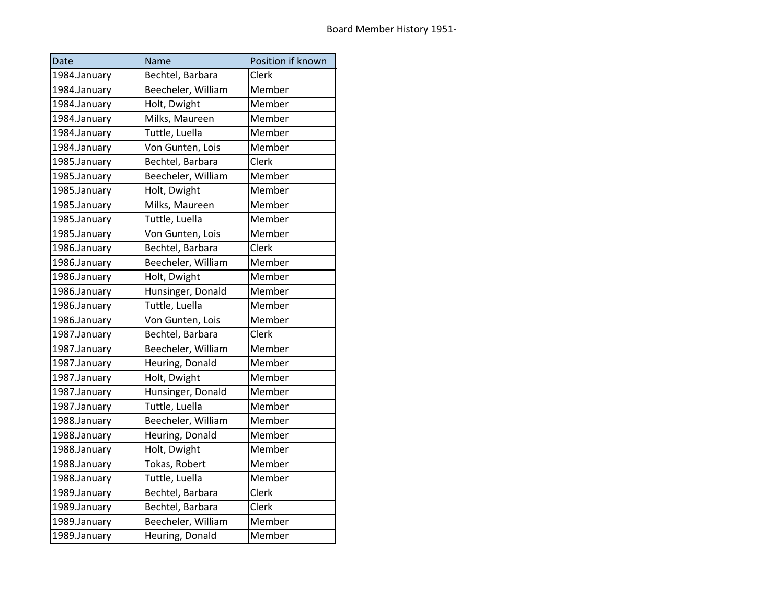| Date         | Name               | Position if known |
|--------------|--------------------|-------------------|
| 1984.January | Bechtel, Barbara   | Clerk             |
| 1984.January | Beecheler, William | Member            |
| 1984.January | Holt, Dwight       | Member            |
| 1984.January | Milks, Maureen     | Member            |
| 1984.January | Tuttle, Luella     | Member            |
| 1984.January | Von Gunten, Lois   | Member            |
| 1985.January | Bechtel, Barbara   | Clerk             |
| 1985.January | Beecheler, William | Member            |
| 1985.January | Holt, Dwight       | Member            |
| 1985.January | Milks, Maureen     | Member            |
| 1985.January | Tuttle, Luella     | Member            |
| 1985.January | Von Gunten, Lois   | Member            |
| 1986.January | Bechtel, Barbara   | Clerk             |
| 1986.January | Beecheler, William | Member            |
| 1986.January | Holt, Dwight       | Member            |
| 1986.January | Hunsinger, Donald  | Member            |
| 1986.January | Tuttle, Luella     | Member            |
| 1986.January | Von Gunten, Lois   | Member            |
| 1987.January | Bechtel, Barbara   | Clerk             |
| 1987.January | Beecheler, William | Member            |
| 1987.January | Heuring, Donald    | Member            |
| 1987.January | Holt, Dwight       | Member            |
| 1987.January | Hunsinger, Donald  | Member            |
| 1987.January | Tuttle, Luella     | Member            |
| 1988.January | Beecheler, William | Member            |
| 1988.January | Heuring, Donald    | Member            |
| 1988.January | Holt, Dwight       | Member            |
| 1988.January | Tokas, Robert      | Member            |
| 1988.January | Tuttle, Luella     | Member            |
| 1989.January | Bechtel, Barbara   | Clerk             |
| 1989.January | Bechtel, Barbara   | Clerk             |
| 1989.January | Beecheler, William | Member            |
| 1989.January | Heuring, Donald    | Member            |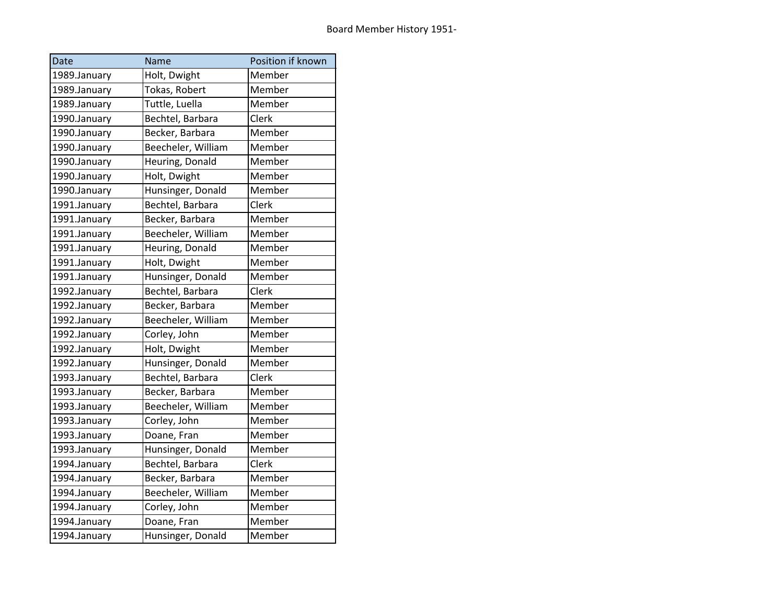| Date         | Name               | Position if known |
|--------------|--------------------|-------------------|
| 1989.January | Holt, Dwight       | Member            |
| 1989.January | Tokas, Robert      | Member            |
| 1989.January | Tuttle, Luella     | Member            |
| 1990.January | Bechtel, Barbara   | Clerk             |
| 1990.January | Becker, Barbara    | Member            |
| 1990.January | Beecheler, William | Member            |
| 1990.January | Heuring, Donald    | Member            |
| 1990.January | Holt, Dwight       | Member            |
| 1990.January | Hunsinger, Donald  | Member            |
| 1991.January | Bechtel, Barbara   | Clerk             |
| 1991.January | Becker, Barbara    | Member            |
| 1991.January | Beecheler, William | Member            |
| 1991.January | Heuring, Donald    | Member            |
| 1991.January | Holt, Dwight       | Member            |
| 1991.January | Hunsinger, Donald  | Member            |
| 1992.January | Bechtel, Barbara   | Clerk             |
| 1992.January | Becker, Barbara    | Member            |
| 1992.January | Beecheler, William | Member            |
| 1992.January | Corley, John       | Member            |
| 1992.January | Holt, Dwight       | Member            |
| 1992.January | Hunsinger, Donald  | Member            |
| 1993.January | Bechtel, Barbara   | Clerk             |
| 1993.January | Becker, Barbara    | Member            |
| 1993.January | Beecheler, William | Member            |
| 1993.January | Corley, John       | Member            |
| 1993.January | Doane, Fran        | Member            |
| 1993.January | Hunsinger, Donald  | Member            |
| 1994.January | Bechtel, Barbara   | Clerk             |
| 1994.January | Becker, Barbara    | Member            |
| 1994.January | Beecheler, William | Member            |
| 1994.January | Corley, John       | Member            |
| 1994.January | Doane, Fran        | Member            |
| 1994.January | Hunsinger, Donald  | Member            |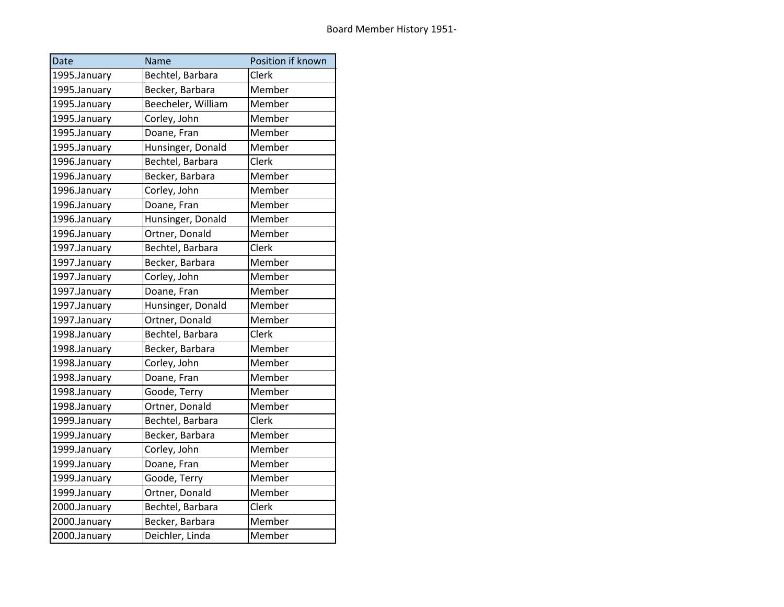| Date         | Name               | Position if known |
|--------------|--------------------|-------------------|
| 1995.January | Bechtel, Barbara   | Clerk             |
| 1995.January | Becker, Barbara    | Member            |
| 1995.January | Beecheler, William | Member            |
| 1995.January | Corley, John       | Member            |
| 1995.January | Doane, Fran        | Member            |
| 1995.January | Hunsinger, Donald  | Member            |
| 1996.January | Bechtel, Barbara   | Clerk             |
| 1996.January | Becker, Barbara    | Member            |
| 1996.January | Corley, John       | Member            |
| 1996.January | Doane, Fran        | Member            |
| 1996.January | Hunsinger, Donald  | Member            |
| 1996.January | Ortner, Donald     | Member            |
| 1997.January | Bechtel, Barbara   | Clerk             |
| 1997.January | Becker, Barbara    | Member            |
| 1997.January | Corley, John       | Member            |
| 1997.January | Doane, Fran        | Member            |
| 1997.January | Hunsinger, Donald  | Member            |
| 1997.January | Ortner, Donald     | Member            |
| 1998.January | Bechtel, Barbara   | Clerk             |
| 1998.January | Becker, Barbara    | Member            |
| 1998.January | Corley, John       | Member            |
| 1998.January | Doane, Fran        | Member            |
| 1998.January | Goode, Terry       | Member            |
| 1998.January | Ortner, Donald     | Member            |
| 1999.January | Bechtel, Barbara   | Clerk             |
| 1999.January | Becker, Barbara    | Member            |
| 1999.January | Corley, John       | Member            |
| 1999.January | Doane, Fran        | Member            |
| 1999.January | Goode, Terry       | Member            |
| 1999.January | Ortner, Donald     | Member            |
| 2000.January | Bechtel, Barbara   | Clerk             |
| 2000.January | Becker, Barbara    | Member            |
| 2000.January | Deichler, Linda    | Member            |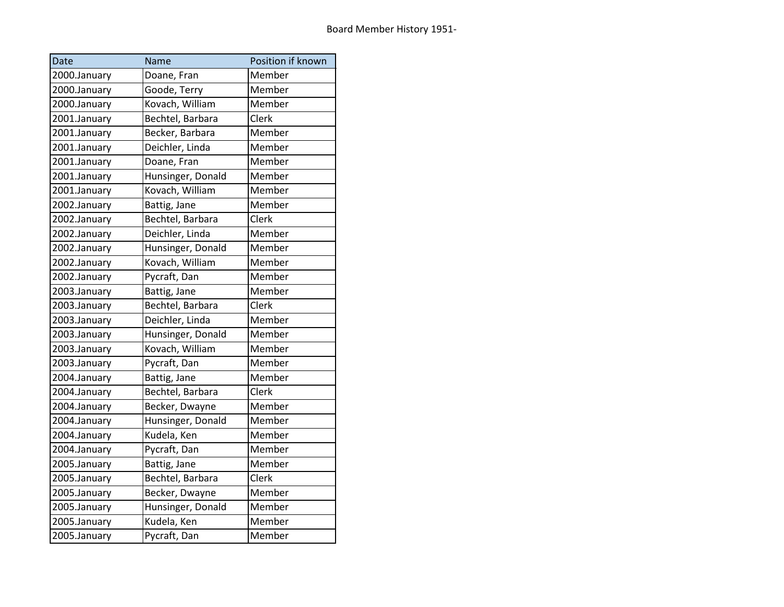| Date         | Name              | Position if known |
|--------------|-------------------|-------------------|
| 2000.January | Doane, Fran       | Member            |
| 2000.January | Goode, Terry      | Member            |
| 2000.January | Kovach, William   | Member            |
| 2001.January | Bechtel, Barbara  | Clerk             |
| 2001.January | Becker, Barbara   | Member            |
| 2001.January | Deichler, Linda   | Member            |
| 2001.January | Doane, Fran       | Member            |
| 2001.January | Hunsinger, Donald | Member            |
| 2001.January | Kovach, William   | Member            |
| 2002.January | Battig, Jane      | Member            |
| 2002.January | Bechtel, Barbara  | Clerk             |
| 2002.January | Deichler, Linda   | Member            |
| 2002.January | Hunsinger, Donald | Member            |
| 2002.January | Kovach, William   | Member            |
| 2002.January | Pycraft, Dan      | Member            |
| 2003.January | Battig, Jane      | Member            |
| 2003.January | Bechtel, Barbara  | Clerk             |
| 2003.January | Deichler, Linda   | Member            |
| 2003.January | Hunsinger, Donald | Member            |
| 2003.January | Kovach, William   | Member            |
| 2003.January | Pycraft, Dan      | Member            |
| 2004.January | Battig, Jane      | Member            |
| 2004.January | Bechtel, Barbara  | Clerk             |
| 2004.January | Becker, Dwayne    | Member            |
| 2004.January | Hunsinger, Donald | Member            |
| 2004.January | Kudela, Ken       | Member            |
| 2004.January | Pycraft, Dan      | Member            |
| 2005.January | Battig, Jane      | Member            |
| 2005.January | Bechtel, Barbara  | Clerk             |
| 2005.January | Becker, Dwayne    | Member            |
| 2005.January | Hunsinger, Donald | Member            |
| 2005.January | Kudela, Ken       | Member            |
| 2005.January | Pycraft, Dan      | Member            |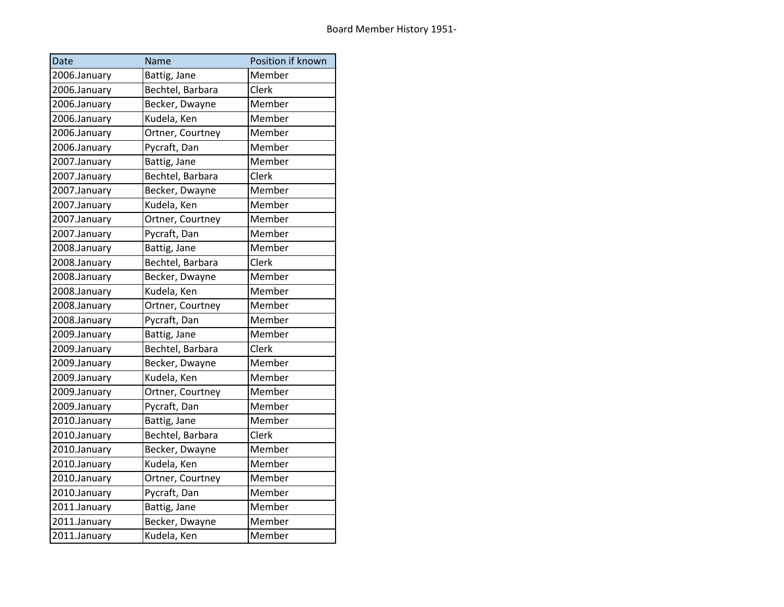| Date         | Name             | Position if known |
|--------------|------------------|-------------------|
| 2006.January | Battig, Jane     | Member            |
| 2006.January | Bechtel, Barbara | Clerk             |
| 2006.January | Becker, Dwayne   | Member            |
| 2006.January | Kudela, Ken      | Member            |
| 2006.January | Ortner, Courtney | Member            |
| 2006.January | Pycraft, Dan     | Member            |
| 2007.January | Battig, Jane     | Member            |
| 2007.January | Bechtel, Barbara | Clerk             |
| 2007.January | Becker, Dwayne   | Member            |
| 2007.January | Kudela, Ken      | Member            |
| 2007.January | Ortner, Courtney | Member            |
| 2007.January | Pycraft, Dan     | Member            |
| 2008.January | Battig, Jane     | Member            |
| 2008.January | Bechtel, Barbara | Clerk             |
| 2008.January | Becker, Dwayne   | Member            |
| 2008.January | Kudela, Ken      | Member            |
| 2008.January | Ortner, Courtney | Member            |
| 2008.January | Pycraft, Dan     | Member            |
| 2009.January | Battig, Jane     | Member            |
| 2009.January | Bechtel, Barbara | Clerk             |
| 2009.January | Becker, Dwayne   | Member            |
| 2009.January | Kudela, Ken      | Member            |
| 2009.January | Ortner, Courtney | Member            |
| 2009.January | Pycraft, Dan     | Member            |
| 2010.January | Battig, Jane     | Member            |
| 2010.January | Bechtel, Barbara | Clerk             |
| 2010.January | Becker, Dwayne   | Member            |
| 2010.January | Kudela, Ken      | Member            |
| 2010.January | Ortner, Courtney | Member            |
| 2010.January | Pycraft, Dan     | Member            |
| 2011.January | Battig, Jane     | Member            |
| 2011.January | Becker, Dwayne   | Member            |
| 2011.January | Kudela, Ken      | Member            |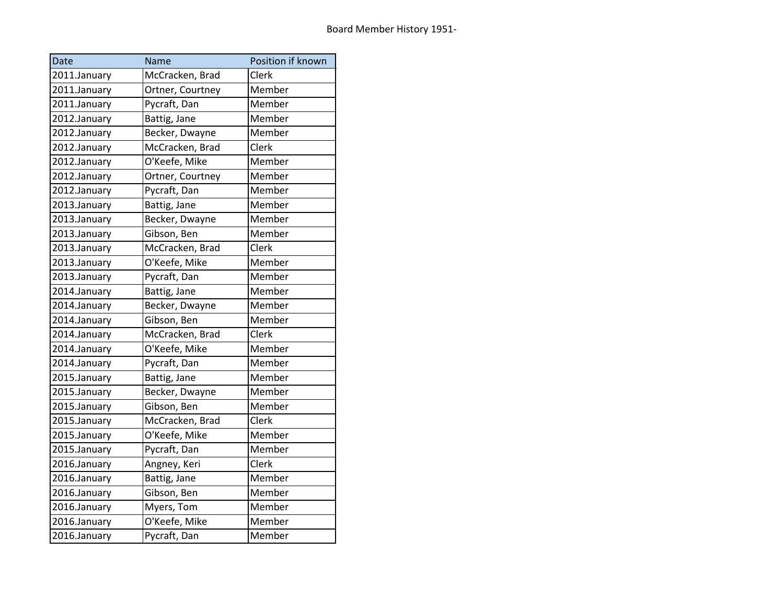| Date         | Name             | Position if known |
|--------------|------------------|-------------------|
| 2011.January | McCracken, Brad  | Clerk             |
| 2011.January | Ortner, Courtney | Member            |
| 2011.January | Pycraft, Dan     | Member            |
| 2012.January | Battig, Jane     | Member            |
| 2012.January | Becker, Dwayne   | Member            |
| 2012.January | McCracken, Brad  | Clerk             |
| 2012.January | O'Keefe, Mike    | Member            |
| 2012.January | Ortner, Courtney | Member            |
| 2012.January | Pycraft, Dan     | Member            |
| 2013.January | Battig, Jane     | Member            |
| 2013.January | Becker, Dwayne   | Member            |
| 2013.January | Gibson, Ben      | Member            |
| 2013.January | McCracken, Brad  | Clerk             |
| 2013.January | O'Keefe, Mike    | Member            |
| 2013.January | Pycraft, Dan     | Member            |
| 2014.January | Battig, Jane     | Member            |
| 2014.January | Becker, Dwayne   | Member            |
| 2014.January | Gibson, Ben      | Member            |
| 2014.January | McCracken, Brad  | Clerk             |
| 2014.January | O'Keefe, Mike    | Member            |
| 2014.January | Pycraft, Dan     | Member            |
| 2015.January | Battig, Jane     | Member            |
| 2015.January | Becker, Dwayne   | Member            |
| 2015.January | Gibson, Ben      | Member            |
| 2015.January | McCracken, Brad  | Clerk             |
| 2015.January | O'Keefe, Mike    | Member            |
| 2015.January | Pycraft, Dan     | Member            |
| 2016.January | Angney, Keri     | Clerk             |
| 2016.January | Battig, Jane     | Member            |
| 2016.January | Gibson, Ben      | Member            |
| 2016.January | Myers, Tom       | Member            |
| 2016.January | O'Keefe, Mike    | Member            |
| 2016.January | Pycraft, Dan     | Member            |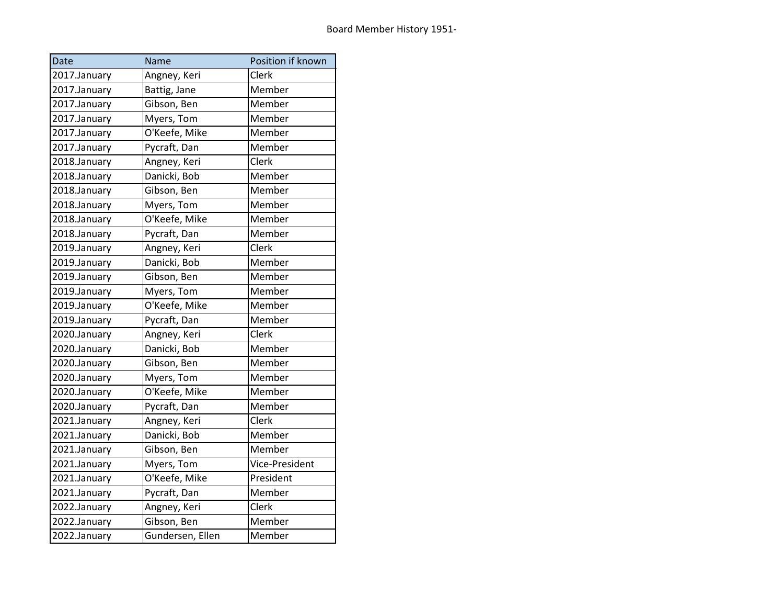| Date         | Name             | Position if known |
|--------------|------------------|-------------------|
| 2017.January | Angney, Keri     | Clerk             |
| 2017.January | Battig, Jane     | Member            |
| 2017.January | Gibson, Ben      | Member            |
| 2017.January | Myers, Tom       | Member            |
| 2017.January | O'Keefe, Mike    | Member            |
| 2017.January | Pycraft, Dan     | Member            |
| 2018.January | Angney, Keri     | Clerk             |
| 2018.January | Danicki, Bob     | Member            |
| 2018.January | Gibson, Ben      | Member            |
| 2018.January | Myers, Tom       | Member            |
| 2018.January | O'Keefe, Mike    | Member            |
| 2018.January | Pycraft, Dan     | Member            |
| 2019.January | Angney, Keri     | Clerk             |
| 2019.January | Danicki, Bob     | Member            |
| 2019.January | Gibson, Ben      | Member            |
| 2019.January | Myers, Tom       | Member            |
| 2019.January | O'Keefe, Mike    | Member            |
| 2019.January | Pycraft, Dan     | Member            |
| 2020.January | Angney, Keri     | Clerk             |
| 2020.January | Danicki, Bob     | Member            |
| 2020.January | Gibson, Ben      | Member            |
| 2020.January | Myers, Tom       | Member            |
| 2020.January | O'Keefe, Mike    | Member            |
| 2020.January | Pycraft, Dan     | Member            |
| 2021.January | Angney, Keri     | Clerk             |
| 2021.January | Danicki, Bob     | Member            |
| 2021.January | Gibson, Ben      | Member            |
| 2021.January | Myers, Tom       | Vice-President    |
| 2021.January | O'Keefe, Mike    | President         |
| 2021.January | Pycraft, Dan     | Member            |
| 2022.January | Angney, Keri     | Clerk             |
| 2022.January | Gibson, Ben      | Member            |
| 2022.January | Gundersen, Ellen | Member            |